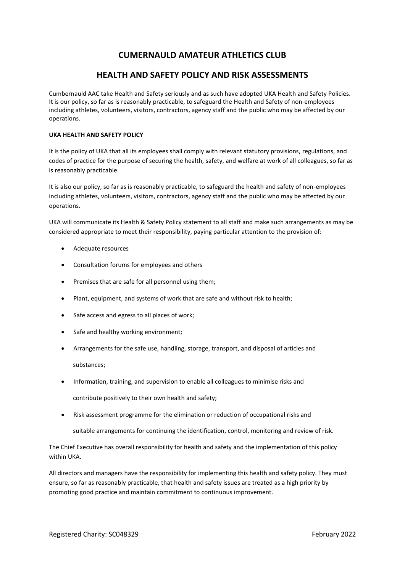# **CUMERNAULD AMATEUR ATHLETICS CLUB**

# **HEALTH AND SAFETY POLICY AND RISK ASSESSMENTS**

Cumbernauld AAC take Health and Safety seriously and as such have adopted UKA Health and Safety Policies. It is our policy, so far as is reasonably practicable, to safeguard the Health and Safety of non-employees including athletes, volunteers, visitors, contractors, agency staff and the public who may be affected by our operations.

## **UKA HEALTH AND SAFETY POLICY**

It is the policy of UKA that all its employees shall comply with relevant statutory provisions, regulations, and codes of practice for the purpose of securing the health, safety, and welfare at work of all colleagues, so far as is reasonably practicable.

It is also our policy, so far as is reasonably practicable, to safeguard the health and safety of non-employees including athletes, volunteers, visitors, contractors, agency staff and the public who may be affected by our operations.

UKA will communicate its Health & Safety Policy statement to all staff and make such arrangements as may be considered appropriate to meet their responsibility, paying particular attention to the provision of:

- Adequate resources
- Consultation forums for employees and others
- Premises that are safe for all personnel using them;
- Plant, equipment, and systems of work that are safe and without risk to health;
- Safe access and egress to all places of work;
- Safe and healthy working environment;
- Arrangements for the safe use, handling, storage, transport, and disposal of articles and substances;
- Information, training, and supervision to enable all colleagues to minimise risks and contribute positively to their own health and safety;
- Risk assessment programme for the elimination or reduction of occupational risks and

suitable arrangements for continuing the identification, control, monitoring and review of risk.

The Chief Executive has overall responsibility for health and safety and the implementation of this policy within UKA.

All directors and managers have the responsibility for implementing this health and safety policy. They must ensure, so far as reasonably practicable, that health and safety issues are treated as a high priority by promoting good practice and maintain commitment to continuous improvement.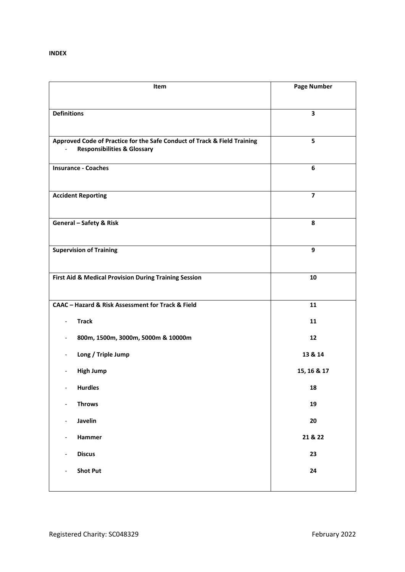| Item                                                                     | <b>Page Number</b> |
|--------------------------------------------------------------------------|--------------------|
|                                                                          |                    |
| <b>Definitions</b>                                                       | 3                  |
| Approved Code of Practice for the Safe Conduct of Track & Field Training | 5                  |
| <b>Responsibilities &amp; Glossary</b>                                   |                    |
| <b>Insurance - Coaches</b>                                               | 6                  |
|                                                                          |                    |
| <b>Accident Reporting</b>                                                | $\overline{7}$     |
|                                                                          |                    |
| <b>General - Safety &amp; Risk</b>                                       | 8                  |
| <b>Supervision of Training</b>                                           | 9                  |
|                                                                          |                    |
| First Aid & Medical Provision During Training Session                    | 10                 |
|                                                                          |                    |
| CAAC - Hazard & Risk Assessment for Track & Field                        | 11                 |
| <b>Track</b>                                                             | 11                 |
| 800m, 1500m, 3000m, 5000m & 10000m                                       | 12                 |
| Long / Triple Jump                                                       | 13 & 14            |
| <b>High Jump</b>                                                         | 15, 16 & 17        |
| <b>Hurdles</b><br>$\overline{\phantom{a}}$                               | 18                 |
| <b>Throws</b><br>$\overline{\phantom{a}}$                                | 19                 |
| Javelin<br>$\qquad \qquad \blacksquare$                                  | 20                 |
| Hammer<br>$\overline{\phantom{0}}$                                       | 21 & 22            |
| <b>Discus</b><br>$\qquad \qquad \blacksquare$                            | 23                 |
| <b>Shot Put</b><br>$\overline{\phantom{0}}$                              | 24                 |
|                                                                          |                    |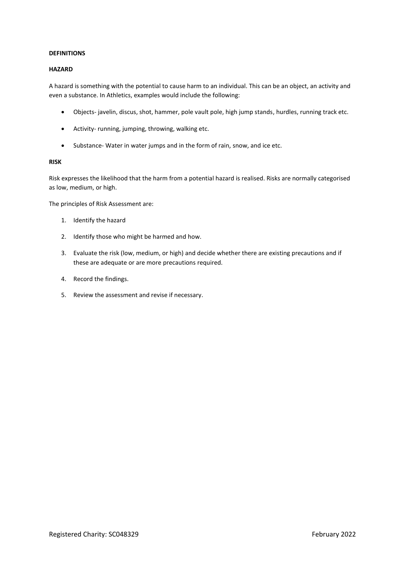## **DEFINITIONS**

## **HAZARD**

A hazard is something with the potential to cause harm to an individual. This can be an object, an activity and even a substance. In Athletics, examples would include the following:

- Objects- javelin, discus, shot, hammer, pole vault pole, high jump stands, hurdles, running track etc.
- Activity- running, jumping, throwing, walking etc.
- Substance- Water in water jumps and in the form of rain, snow, and ice etc.

## **RISK**

Risk expresses the likelihood that the harm from a potential hazard is realised. Risks are normally categorised as low, medium, or high.

The principles of Risk Assessment are:

- 1. Identify the hazard
- 2. Identify those who might be harmed and how.
- 3. Evaluate the risk (low, medium, or high) and decide whether there are existing precautions and if these are adequate or are more precautions required.
- 4. Record the findings.
- 5. Review the assessment and revise if necessary.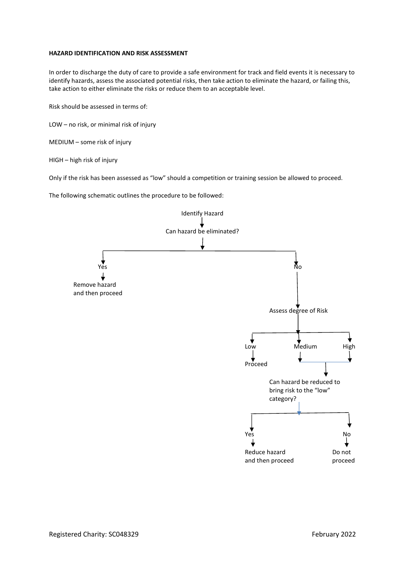## **HAZARD IDENTIFICATION AND RISK ASSESSMENT**

In order to discharge the duty of care to provide a safe environment for track and field events it is necessary to identify hazards, assess the associated potential risks, then take action to eliminate the hazard, or failing this, take action to either eliminate the risks or reduce them to an acceptable level.

Risk should be assessed in terms of:

LOW – no risk, or minimal risk of injury

MEDIUM – some risk of injury

HIGH – high risk of injury

Only if the risk has been assessed as "low" should a competition or training session be allowed to proceed.

The following schematic outlines the procedure to be followed:

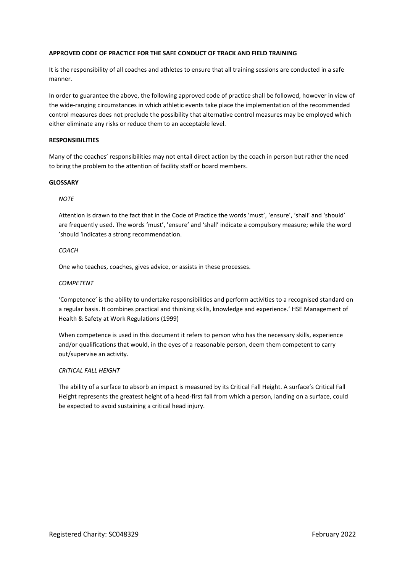## **APPROVED CODE OF PRACTICE FOR THE SAFE CONDUCT OF TRACK AND FIELD TRAINING**

It is the responsibility of all coaches and athletes to ensure that all training sessions are conducted in a safe manner.

In order to guarantee the above, the following approved code of practice shall be followed, however in view of the wide-ranging circumstances in which athletic events take place the implementation of the recommended control measures does not preclude the possibility that alternative control measures may be employed which either eliminate any risks or reduce them to an acceptable level.

## **RESPONSIBILITIES**

Many of the coaches' responsibilities may not entail direct action by the coach in person but rather the need to bring the problem to the attention of facility staff or board members.

### **GLOSSARY**

## *NOTE*

Attention is drawn to the fact that in the Code of Practice the words 'must', 'ensure', 'shall' and 'should' are frequently used. The words 'must', 'ensure' and 'shall' indicate a compulsory measure; while the word 'should 'indicates a strong recommendation.

## *COACH*

One who teaches, coaches, gives advice, or assists in these processes.

## *COMPETENT*

'Competence' is the ability to undertake responsibilities and perform activities to a recognised standard on a regular basis. It combines practical and thinking skills, knowledge and experience.' HSE Management of Health & Safety at Work Regulations (1999)

When competence is used in this document it refers to person who has the necessary skills, experience and/or qualifications that would, in the eyes of a reasonable person, deem them competent to carry out/supervise an activity.

## *CRITICAL FALL HEIGHT*

The ability of a surface to absorb an impact is measured by its Critical Fall Height. A surface's Critical Fall Height represents the greatest height of a head-first fall from which a person, landing on a surface, could be expected to avoid sustaining a critical head injury.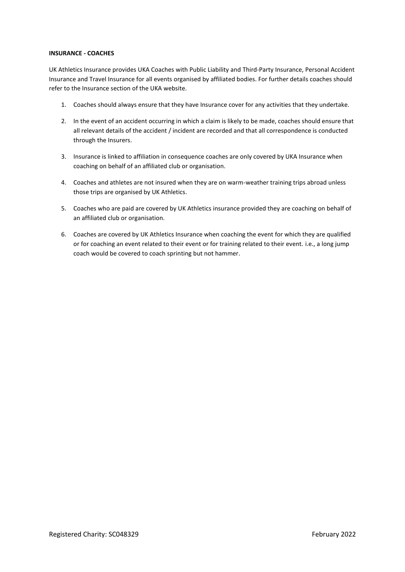## **INSURANCE - COACHES**

UK Athletics Insurance provides UKA Coaches with Public Liability and Third-Party Insurance, Personal Accident Insurance and Travel Insurance for all events organised by affiliated bodies. For further details coaches should refer to the Insurance section of the UKA website.

- 1. Coaches should always ensure that they have Insurance cover for any activities that they undertake.
- 2. In the event of an accident occurring in which a claim is likely to be made, coaches should ensure that all relevant details of the accident / incident are recorded and that all correspondence is conducted through the Insurers.
- 3. Insurance is linked to affiliation in consequence coaches are only covered by UKA Insurance when coaching on behalf of an affiliated club or organisation.
- 4. Coaches and athletes are not insured when they are on warm-weather training trips abroad unless those trips are organised by UK Athletics.
- 5. Coaches who are paid are covered by UK Athletics insurance provided they are coaching on behalf of an affiliated club or organisation.
- 6. Coaches are covered by UK Athletics Insurance when coaching the event for which they are qualified or for coaching an event related to their event or for training related to their event. i.e., a long jump coach would be covered to coach sprinting but not hammer.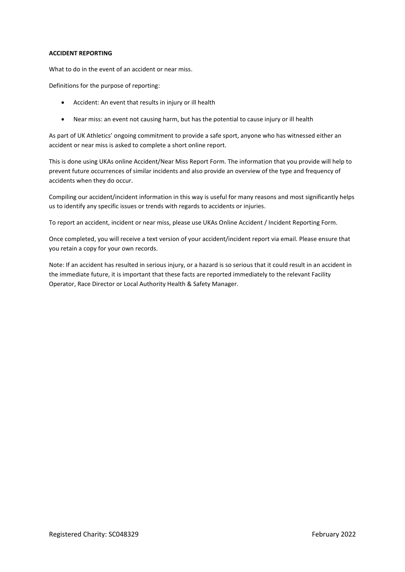## **ACCIDENT REPORTING**

What to do in the event of an accident or near miss.

Definitions for the purpose of reporting:

- Accident: An event that results in injury or ill health
- Near miss: an event not causing harm, but has the potential to cause injury or ill health

As part of UK Athletics' ongoing commitment to provide a safe sport, anyone who has witnessed either an accident or near miss is asked to complete a short online report.

This is done using UKAs online Accident/Near Miss Report Form. The information that you provide will help to prevent future occurrences of similar incidents and also provide an overview of the type and frequency of accidents when they do occur.

Compiling our accident/incident information in this way is useful for many reasons and most significantly helps us to identify any specific issues or trends with regards to accidents or injuries.

To report an accident, incident or near miss, please use UKAs Online Accident / Incident Reporting Form.

Once completed, you will receive a text version of your accident/incident report via email. Please ensure that you retain a copy for your own records.

Note: If an accident has resulted in serious injury, or a hazard is so serious that it could result in an accident in the immediate future, it is important that these facts are reported immediately to the relevant Facility Operator, Race Director or Local Authority Health & Safety Manager.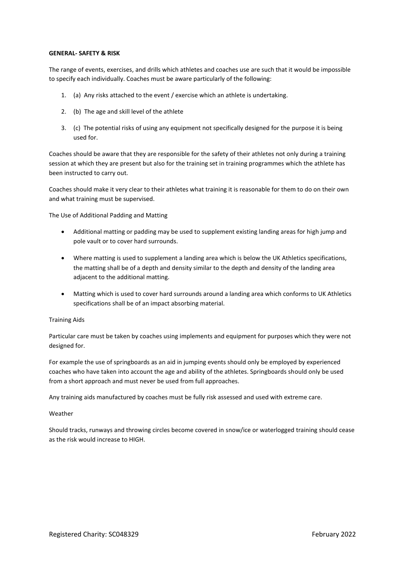## **GENERAL- SAFETY & RISK**

The range of events, exercises, and drills which athletes and coaches use are such that it would be impossible to specify each individually. Coaches must be aware particularly of the following:

- 1. (a) Any risks attached to the event / exercise which an athlete is undertaking.
- 2. (b) The age and skill level of the athlete
- 3. (c) The potential risks of using any equipment not specifically designed for the purpose it is being used for.

Coaches should be aware that they are responsible for the safety of their athletes not only during a training session at which they are present but also for the training set in training programmes which the athlete has been instructed to carry out.

Coaches should make it very clear to their athletes what training it is reasonable for them to do on their own and what training must be supervised.

The Use of Additional Padding and Matting

- Additional matting or padding may be used to supplement existing landing areas for high jump and pole vault or to cover hard surrounds.
- Where matting is used to supplement a landing area which is below the UK Athletics specifications, the matting shall be of a depth and density similar to the depth and density of the landing area adjacent to the additional matting.
- Matting which is used to cover hard surrounds around a landing area which conforms to UK Athletics specifications shall be of an impact absorbing material.

## Training Aids

Particular care must be taken by coaches using implements and equipment for purposes which they were not designed for.

For example the use of springboards as an aid in jumping events should only be employed by experienced coaches who have taken into account the age and ability of the athletes. Springboards should only be used from a short approach and must never be used from full approaches.

Any training aids manufactured by coaches must be fully risk assessed and used with extreme care.

### Weather

Should tracks, runways and throwing circles become covered in snow/ice or waterlogged training should cease as the risk would increase to HIGH.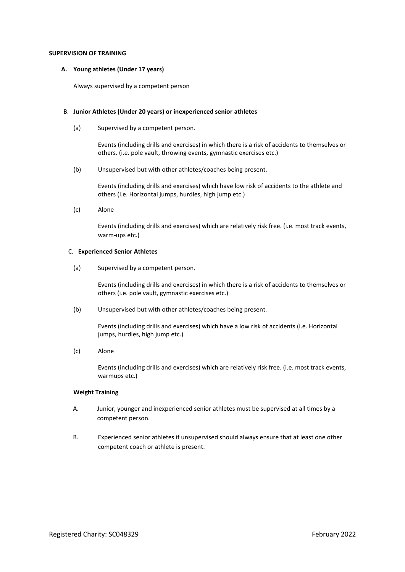### **SUPERVISION OF TRAINING**

## **A. Young athletes (Under 17 years)**

Always supervised by a competent person

## B. **Junior Athletes (Under 20 years) or inexperienced senior athletes**

(a) Supervised by a competent person.

Events (including drills and exercises) in which there is a risk of accidents to themselves or others. (i.e. pole vault, throwing events, gymnastic exercises etc.)

(b) Unsupervised but with other athletes/coaches being present.

Events (including drills and exercises) which have low risk of accidents to the athlete and others (i.e. Horizontal jumps, hurdles, high jump etc.)

(c) Alone

Events (including drills and exercises) which are relatively risk free. (i.e. most track events, warm-ups etc.)

## C. **Experienced Senior Athletes**

(a) Supervised by a competent person.

Events (including drills and exercises) in which there is a risk of accidents to themselves or others (i.e. pole vault, gymnastic exercises etc.)

(b) Unsupervised but with other athletes/coaches being present.

Events (including drills and exercises) which have a low risk of accidents (i.e. Horizontal jumps, hurdles, high jump etc.)

(c) Alone

Events (including drills and exercises) which are relatively risk free. (i.e. most track events, warmups etc.)

### **Weight Training**

- A. Junior, younger and inexperienced senior athletes must be supervised at all times by a competent person.
- B. Experienced senior athletes if unsupervised should always ensure that at least one other competent coach or athlete is present.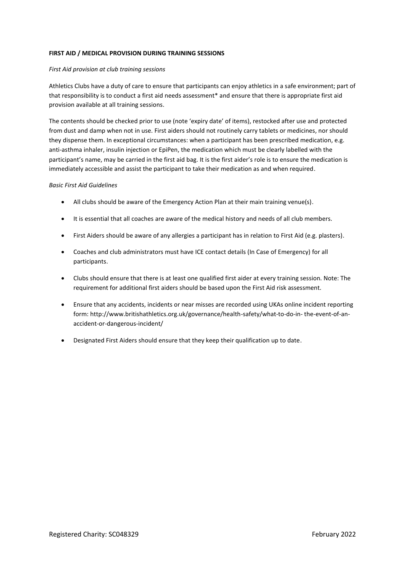## **FIRST AID / MEDICAL PROVISION DURING TRAINING SESSIONS**

## *First Aid provision at club training sessions*

Athletics Clubs have a duty of care to ensure that participants can enjoy athletics in a safe environment; part of that responsibility is to conduct a first aid needs assessment\* and ensure that there is appropriate first aid provision available at all training sessions.

The contents should be checked prior to use (note 'expiry date' of items), restocked after use and protected from dust and damp when not in use. First aiders should not routinely carry tablets or medicines, nor should they dispense them. In exceptional circumstances: when a participant has been prescribed medication, e.g. anti-asthma inhaler, insulin injection or EpiPen, the medication which must be clearly labelled with the participant's name, may be carried in the first aid bag. It is the first aider's role is to ensure the medication is immediately accessible and assist the participant to take their medication as and when required.

## *Basic First Aid Guidelines*

- All clubs should be aware of the Emergency Action Plan at their main training venue(s).
- It is essential that all coaches are aware of the medical history and needs of all club members.
- First Aiders should be aware of any allergies a participant has in relation to First Aid (e.g. plasters).
- Coaches and club administrators must have ICE contact details (In Case of Emergency) for all participants.
- Clubs should ensure that there is at least one qualified first aider at every training session. Note: The requirement for additional first aiders should be based upon the First Aid risk assessment.
- Ensure that any accidents, incidents or near misses are recorded using UKAs online incident reporting form: http://www.britishathletics.org.uk/governance/health-safety/what-to-do-in- the-event-of-anaccident-or-dangerous-incident/
- Designated First Aiders should ensure that they keep their qualification up to date.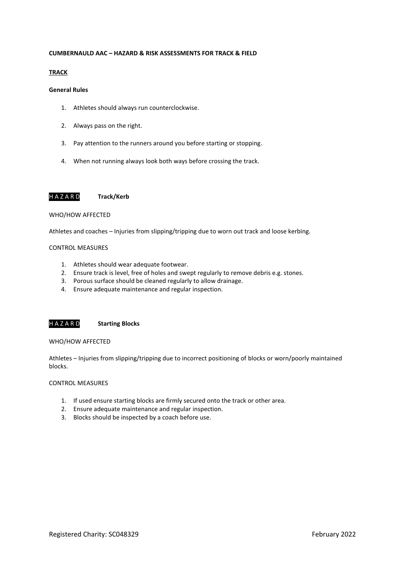## **CUMBERNAULD AAC – HAZARD & RISK ASSESSMENTS FOR TRACK & FIELD**

## **TRACK**

## **General Rules**

- 1. Athletes should always run counterclockwise.
- 2. Always pass on the right.
- 3. Pay attention to the runners around you before starting or stopping.
- 4. When not running always look both ways before crossing the track.

## H A Z A R D **Track/Kerb**

### WHO/HOW AFFECTED

Athletes and coaches – Injuries from slipping/tripping due to worn out track and loose kerbing.

#### CONTROL MEASURES

- 1. Athletes should wear adequate footwear.
- 2. Ensure track is level, free of holes and swept regularly to remove debris e.g. stones.
- 3. Porous surface should be cleaned regularly to allow drainage.
- 4. Ensure adequate maintenance and regular inspection.

## H A Z A R D **Starting Blocks**

## WHO/HOW AFFECTED

Athletes – Injuries from slipping/tripping due to incorrect positioning of blocks or worn/poorly maintained blocks.

- 1. If used ensure starting blocks are firmly secured onto the track or other area.
- 2. Ensure adequate maintenance and regular inspection.
- 3. Blocks should be inspected by a coach before use.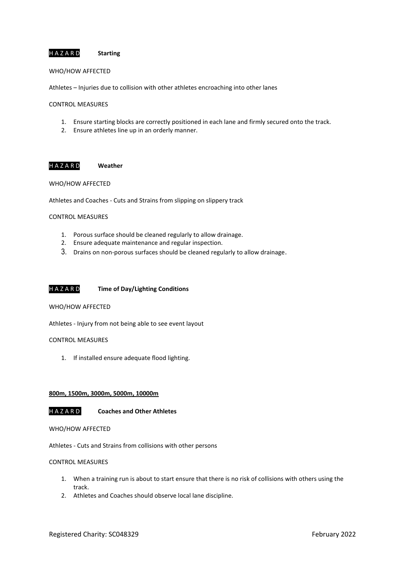## H A Z A R D **Starting**

## WHO/HOW AFFECTED

Athletes – Injuries due to collision with other athletes encroaching into other lanes

## CONTROL MEASURES

- 1. Ensure starting blocks are correctly positioned in each lane and firmly secured onto the track.
- 2. Ensure athletes line up in an orderly manner.

## H A Z A R D **Weather**

## WHO/HOW AFFECTED

Athletes and Coaches - Cuts and Strains from slipping on slippery track

## CONTROL MEASURES

- 1. Porous surface should be cleaned regularly to allow drainage.
- 2. Ensure adequate maintenance and regular inspection.
- 3. Drains on non-porous surfaces should be cleaned regularly to allow drainage.

## H A Z A R D **Time of Day/Lighting Conditions**

#### WHO/HOW AFFECTED

Athletes - Injury from not being able to see event layout

## CONTROL MEASURES

1. If installed ensure adequate flood lighting.

## **800m, 1500m, 3000m, 5000m, 10000m**

H A Z A R D **Coaches and Other Athletes**

### WHO/HOW AFFECTED

Athletes - Cuts and Strains from collisions with other persons

- 1. When a training run is about to start ensure that there is no risk of collisions with others using the track.
- 2. Athletes and Coaches should observe local lane discipline.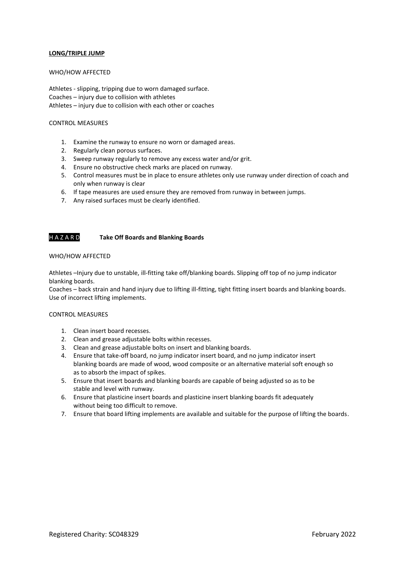## **LONG/TRIPLE JUMP**

## WHO/HOW AFFECTED

Athletes - slipping, tripping due to worn damaged surface. Coaches – injury due to collision with athletes Athletes – injury due to collision with each other or coaches

## CONTROL MEASURES

- 1. Examine the runway to ensure no worn or damaged areas.
- 2. Regularly clean porous surfaces.
- 3. Sweep runway regularly to remove any excess water and/or grit.
- 4. Ensure no obstructive check marks are placed on runway.
- 5. Control measures must be in place to ensure athletes only use runway under direction of coach and only when runway is clear
- 6. If tape measures are used ensure they are removed from runway in between jumps.
- 7. Any raised surfaces must be clearly identified.

## H A Z A R D **Take Off Boards and Blanking Boards**

## WHO/HOW AFFECTED

Athletes –Injury due to unstable, ill-fitting take off/blanking boards. Slipping off top of no jump indicator blanking boards.

Coaches – back strain and hand injury due to lifting ill-fitting, tight fitting insert boards and blanking boards. Use of incorrect lifting implements.

- 1. Clean insert board recesses.
- 2. Clean and grease adjustable bolts within recesses.
- 3. Clean and grease adjustable bolts on insert and blanking boards.
- 4. Ensure that take-off board, no jump indicator insert board, and no jump indicator insert blanking boards are made of wood, wood composite or an alternative material soft enough so as to absorb the impact of spikes.
- 5. Ensure that insert boards and blanking boards are capable of being adjusted so as to be stable and level with runway.
- 6. Ensure that plasticine insert boards and plasticine insert blanking boards fit adequately without being too difficult to remove.
- 7. Ensure that board lifting implements are available and suitable for the purpose of lifting the boards.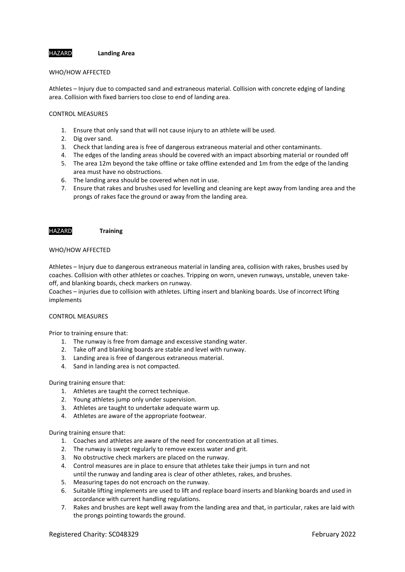HAZARD **Landing Area**

### WHO/HOW AFFECTED

Athletes – Injury due to compacted sand and extraneous material. Collision with concrete edging of landing area. Collision with fixed barriers too close to end of landing area.

## CONTROL MEASURES

- 1. Ensure that only sand that will not cause injury to an athlete will be used.
- 2. Dig over sand.
- 3. Check that landing area is free of dangerous extraneous material and other contaminants.
- 4. The edges of the landing areas should be covered with an impact absorbing material or rounded off
- 5. The area 12m beyond the take offline or take offline extended and 1m from the edge of the landing area must have no obstructions.
- 6. The landing area should be covered when not in use.
- 7. Ensure that rakes and brushes used for levelling and cleaning are kept away from landing area and the prongs of rakes face the ground or away from the landing area.

#### HAZARD **Training**

## WHO/HOW AFFECTED

Athletes – Injury due to dangerous extraneous material in landing area, collision with rakes, brushes used by coaches. Collision with other athletes or coaches. Tripping on worn, uneven runways, unstable, uneven takeoff, and blanking boards, check markers on runway.

Coaches – injuries due to collision with athletes. Lifting insert and blanking boards. Use of incorrect lifting implements

## CONTROL MEASURES

Prior to training ensure that:

- 1. The runway is free from damage and excessive standing water.
- 2. Take off and blanking boards are stable and level with runway.
- 3. Landing area is free of dangerous extraneous material.
- 4. Sand in landing area is not compacted.

### During training ensure that:

- 1. Athletes are taught the correct technique.
- 2. Young athletes jump only under supervision.
- 3. Athletes are taught to undertake adequate warm up.
- 4. Athletes are aware of the appropriate footwear.

During training ensure that:

- 1. Coaches and athletes are aware of the need for concentration at all times.
- 2. The runway is swept regularly to remove excess water and grit.
- 3. No obstructive check markers are placed on the runway.
- 4. Control measures are in place to ensure that athletes take their jumps in turn and not until the runway and landing area is clear of other athletes, rakes, and brushes.
- 5. Measuring tapes do not encroach on the runway.
- 6. Suitable lifting implements are used to lift and replace board inserts and blanking boards and used in accordance with current handling regulations.
- 7. Rakes and brushes are kept well away from the landing area and that, in particular, rakes are laid with the prongs pointing towards the ground.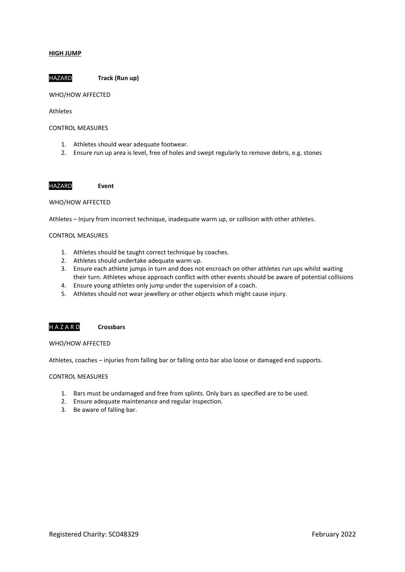### **HIGH JUMP**

HAZARD **Track (Run up)**

## WHO/HOW AFFECTED

## Athletes

### CONTROL MEASURES

- 1. Athletes should wear adequate footwear.
- 2. Ensure run up area is level, free of holes and swept regularly to remove debris, e.g. stones

HAZARD **Event**

## WHO/HOW AFFECTED

Athletes – Injury from incorrect technique, inadequate warm up, or collision with other athletes.

## CONTROL MEASURES

- 1. Athletes should be taught correct technique by coaches.
- 2. Athletes should undertake adequate warm up.
- 3. Ensure each athlete jumps in turn and does not encroach on other athletes run ups whilst waiting their turn. Athletes whose approach conflict with other events should be aware of potential collisions
- 4. Ensure young athletes only jump under the supervision of a coach.
- 5. Athletes should not wear jewellery or other objects which might cause injury.

## H A Z A R D **Crossbars**

WHO/HOW AFFECTED

Athletes, coaches – injuries from falling bar or falling onto bar also loose or damaged end supports.

- 1. Bars must be undamaged and free from splints. Only bars as specified are to be used.
- 2. Ensure adequate maintenance and regular inspection.
- 3. Be aware of falling bar.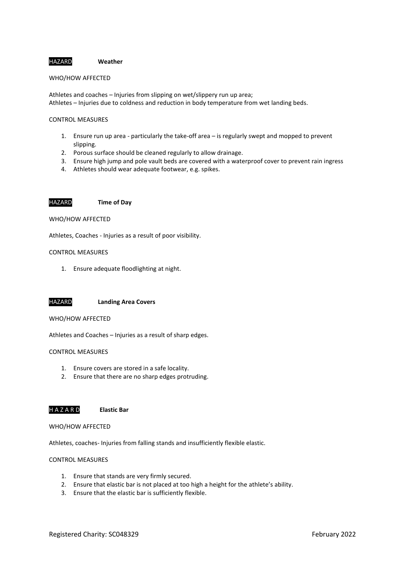### HAZARD **Weather**

## WHO/HOW AFFECTED

Athletes and coaches – Injuries from slipping on wet/slippery run up area; Athletes – Injuries due to coldness and reduction in body temperature from wet landing beds.

#### CONTROL MEASURES

- 1. Ensure run up area particularly the take-off area is regularly swept and mopped to prevent slipping.
- 2. Porous surface should be cleaned regularly to allow drainage.
- 3. Ensure high jump and pole vault beds are covered with a waterproof cover to prevent rain ingress
- 4. Athletes should wear adequate footwear, e.g. spikes.

#### HAZARD **Time of Day**

## WHO/HOW AFFECTED

Athletes, Coaches - Injuries as a result of poor visibility.

## CONTROL MEASURES

1. Ensure adequate floodlighting at night.



### WHO/HOW AFFECTED

Athletes and Coaches – Injuries as a result of sharp edges.

## CONTROL MEASURES

- 1. Ensure covers are stored in a safe locality.
- 2. Ensure that there are no sharp edges protruding.



WHO/HOW AFFECTED

Athletes, coaches- Injuries from falling stands and insufficiently flexible elastic.

- 1. Ensure that stands are very firmly secured.
- 2. Ensure that elastic bar is not placed at too high a height for the athlete's ability.
- 3. Ensure that the elastic bar is sufficiently flexible.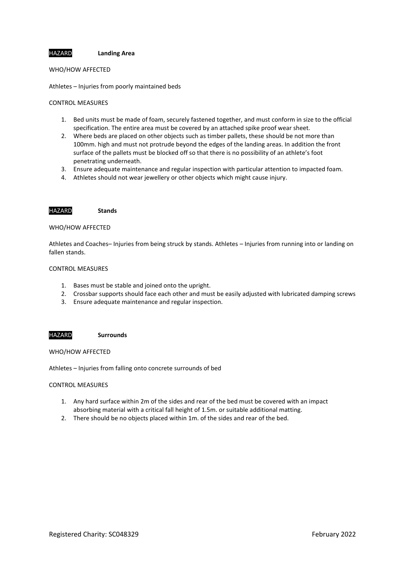HAZARD **Landing Area**

WHO/HOW AFFECTED

Athletes – Injuries from poorly maintained beds

## CONTROL MEASURES

- 1. Bed units must be made of foam, securely fastened together, and must conform in size to the official specification. The entire area must be covered by an attached spike proof wear sheet.
- 2. Where beds are placed on other objects such as timber pallets, these should be not more than 100mm. high and must not protrude beyond the edges of the landing areas. In addition the front surface of the pallets must be blocked off so that there is no possibility of an athlete's foot penetrating underneath.
- 3. Ensure adequate maintenance and regular inspection with particular attention to impacted foam.
- 4. Athletes should not wear jewellery or other objects which might cause injury.

## HAZARD **Stands**

## WHO/HOW AFFECTED

Athletes and Coaches– Injuries from being struck by stands. Athletes – Injuries from running into or landing on fallen stands.

#### CONTROL MEASURES

- 1. Bases must be stable and joined onto the upright.
- 2. Crossbar supports should face each other and must be easily adjusted with lubricated damping screws
- 3. Ensure adequate maintenance and regular inspection.

## HAZARD **Surrounds**

WHO/HOW AFFECTED

Athletes – Injuries from falling onto concrete surrounds of bed

- 1. Any hard surface within 2m of the sides and rear of the bed must be covered with an impact absorbing material with a critical fall height of 1.5m. or suitable additional matting.
- 2. There should be no objects placed within 1m. of the sides and rear of the bed.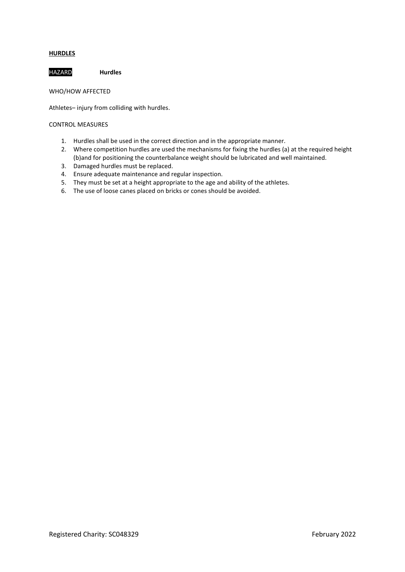## **HURDLES**

HAZARD **Hurdles**

WHO/HOW AFFECTED

Athletes– injury from colliding with hurdles.

- 1. Hurdles shall be used in the correct direction and in the appropriate manner.
- 2. Where competition hurdles are used the mechanisms for fixing the hurdles (a) at the required height (b)and for positioning the counterbalance weight should be lubricated and well maintained.
- 3. Damaged hurdles must be replaced.
- 4. Ensure adequate maintenance and regular inspection.
- 5. They must be set at a height appropriate to the age and ability of the athletes.
- 6. The use of loose canes placed on bricks or cones should be avoided.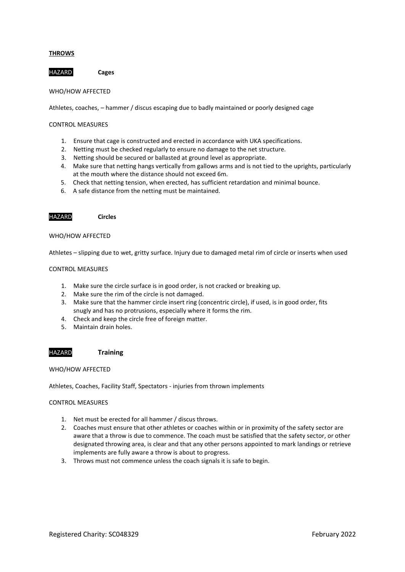## **THROWS**

HAZARD **Cages** 

## WHO/HOW AFFECTED

Athletes, coaches, – hammer / discus escaping due to badly maintained or poorly designed cage

## CONTROL MEASURES

- 1. Ensure that cage is constructed and erected in accordance with UKA specifications.
- 2. Netting must be checked regularly to ensure no damage to the net structure.
- 3. Netting should be secured or ballasted at ground level as appropriate.
- 4. Make sure that netting hangs vertically from gallows arms and is not tied to the uprights, particularly at the mouth where the distance should not exceed 6m.
- 5. Check that netting tension, when erected, has sufficient retardation and minimal bounce.
- 6. A safe distance from the netting must be maintained.

## HAZARD **Circles**

#### WHO/HOW AFFECTED

Athletes – slipping due to wet, gritty surface. Injury due to damaged metal rim of circle or inserts when used

### CONTROL MEASURES

- 1. Make sure the circle surface is in good order, is not cracked or breaking up.
- 2. Make sure the rim of the circle is not damaged.
- 3. Make sure that the hammer circle insert ring (concentric circle), if used, is in good order, fits snugly and has no protrusions, especially where it forms the rim.
- 4. Check and keep the circle free of foreign matter.
- 5. Maintain drain holes.

## HAZARD **Training**

### WHO/HOW AFFECTED

Athletes, Coaches, Facility Staff, Spectators - injuries from thrown implements

- 1. Net must be erected for all hammer / discus throws.
- 2. Coaches must ensure that other athletes or coaches within or in proximity of the safety sector are aware that a throw is due to commence. The coach must be satisfied that the safety sector, or other designated throwing area, is clear and that any other persons appointed to mark landings or retrieve implements are fully aware a throw is about to progress.
- 3. Throws must not commence unless the coach signals it is safe to begin.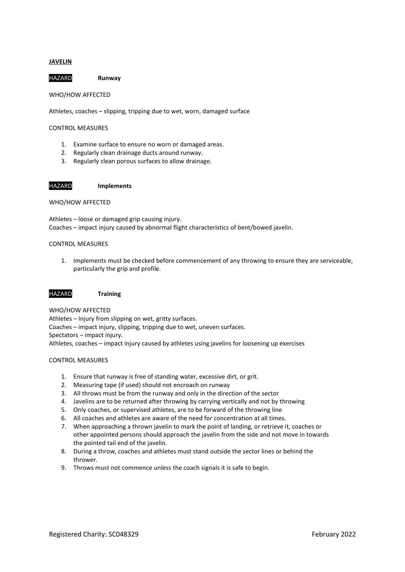## **JAVELIN**

HAZARD **Runway** 

WHO/HOW AFFECTED

Athletes, coaches – slipping, tripping due to wet, worn, damaged surface

CONTROL MEASURES

- 1. Examine surface to ensure no worn or damaged areas.
- 2. Regularly clean drainage ducts around runway.
- 3. Regularly clean porous surfaces to allow drainage.

## HAZARD **Implements**

WHO/HOW AFFECTED

Athletes – loose or damaged grip causing injury. Coaches – impact injury caused by abnormal flight characteristics of bent/bowed javelin.

## CONTROL MEASURES

1. Implements must be checked before commencement of any throwing to ensure they are serviceable, particularly the grip and profile.

### HAZARD **Training**

WHO/HOW AFFECTED

Athletes – Injury from slipping on wet, gritty surfaces. Coaches – impact injury, slipping, tripping due to wet, uneven surfaces. Spectators – impact injury. Athletes, coaches – impact injury caused by athletes using javelins for loosening up exercises

- 1. Ensure that runway is free of standing water, excessive dirt, or grit.
- 2. Measuring tape (if used) should not encroach on runway
- 3. All throws must be from the runway and only in the direction of the sector
- 4. Javelins are to be returned after throwing by carrying vertically and not by throwing
- 5. Only coaches, or supervised athletes, are to be forward of the throwing line
- 6. All coaches and athletes are aware of the need for concentration at all times.
- 7. When approaching a thrown javelin to mark the point of landing, or retrieve it, coaches or other appointed persons should approach the javelin from the side and not move in towards the pointed tail end of the javelin.
- 8. During a throw, coaches and athletes must stand outside the sector lines or behind the thrower.
- 9. Throws must not commence unless the coach signals it is safe to begin.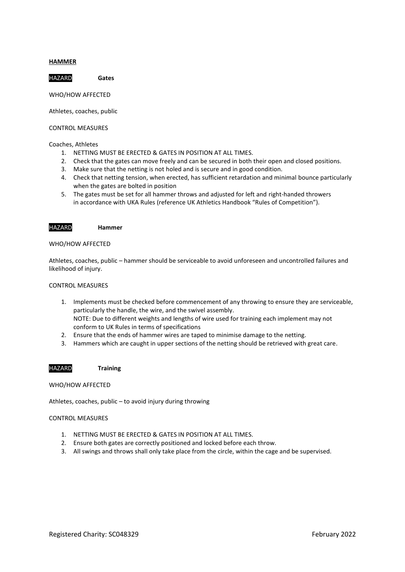### **HAMMER**

HAZARD **Gates** 

WHO/HOW AFFECTED

Athletes, coaches, public

CONTROL MEASURES

## Coaches, Athletes

- 1. NETTING MUST BE ERECTED & GATES IN POSITION AT ALL TIMES.
- 2. Check that the gates can move freely and can be secured in both their open and closed positions.
- 3. Make sure that the netting is not holed and is secure and in good condition.
- 4. Check that netting tension, when erected, has sufficient retardation and minimal bounce particularly when the gates are bolted in position
- 5. The gates must be set for all hammer throws and adjusted for left and right-handed throwers in accordance with UKA Rules (reference UK Athletics Handbook "Rules of Competition").



HAZARD **Hammer**

### WHO/HOW AFFECTED

Athletes, coaches, public – hammer should be serviceable to avoid unforeseen and uncontrolled failures and likelihood of injury.

## CONTROL MEASURES

- 1. Implements must be checked before commencement of any throwing to ensure they are serviceable, particularly the handle, the wire, and the swivel assembly. NOTE: Due to different weights and lengths of wire used for training each implement may not conform to UK Rules in terms of specifications
- 2. Ensure that the ends of hammer wires are taped to minimise damage to the netting.
- 3. Hammers which are caught in upper sections of the netting should be retrieved with great care.

## HAZARD **Training**

### WHO/HOW AFFECTED

Athletes, coaches, public – to avoid injury during throwing

- 1. NETTING MUST BE ERECTED & GATES IN POSITION AT ALL TIMES.
- 2. Ensure both gates are correctly positioned and locked before each throw.
- 3. All swings and throws shall only take place from the circle, within the cage and be supervised.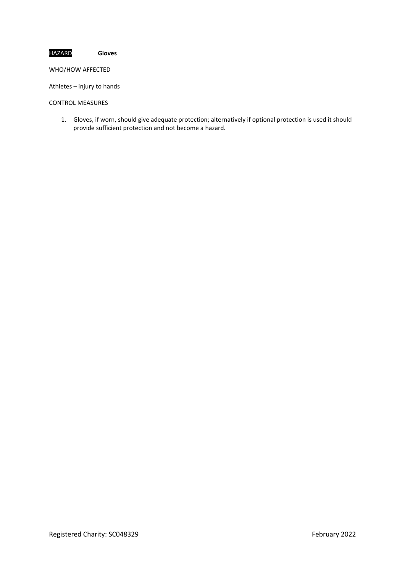# HAZARD **Gloves**

WHO/HOW AFFECTED

Athletes – injury to hands

CONTROL MEASURES

1. Gloves, if worn, should give adequate protection; alternatively if optional protection is used it should provide sufficient protection and not become a hazard.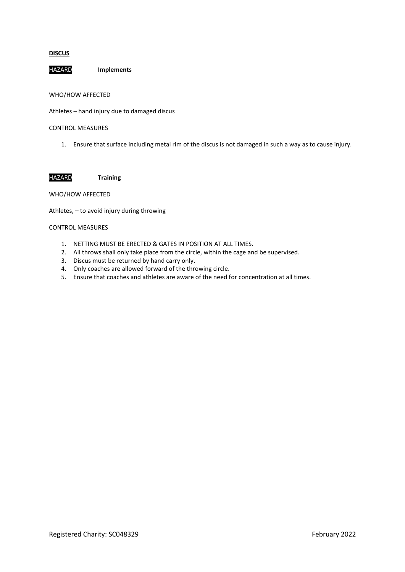## **DISCUS**

HAZARD **Implements**

WHO/HOW AFFECTED

Athletes – hand injury due to damaged discus

CONTROL MEASURES

1. Ensure that surface including metal rim of the discus is not damaged in such a way as to cause injury.

HAZARD **Training**

## WHO/HOW AFFECTED

Athletes, – to avoid injury during throwing

- 1. NETTING MUST BE ERECTED & GATES IN POSITION AT ALL TIMES.
- 2. All throws shall only take place from the circle, within the cage and be supervised.
- 3. Discus must be returned by hand carry only.
- 4. Only coaches are allowed forward of the throwing circle.
- 5. Ensure that coaches and athletes are aware of the need for concentration at all times.